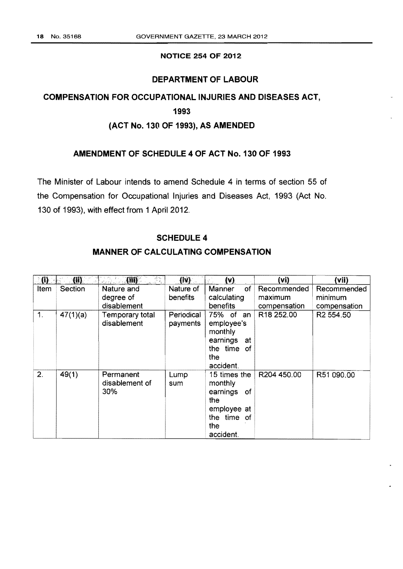### NOTICE 254 OF 2012

## DEPARTMENT OF LABOUR

# COMPENSATION FOR OCCUPATIONAL INJURIES AND DISEASES ACT,

# 1993

# (ACT No. 130 OF 1993), AS AMENDED

## AMENDMENT OF SCHEDULE 4 OF ACT No.130 OF 1993

The Minister of Labour intends to amend Schedule 4 in terms of section 55 of the Compensation for Occupational Injuries and Diseases Act, 1993 (Act No. 130 of 1993), with effect from 1 April 2012.

#### SCHEDULE 4

# MANNER OF CALCULATING COMPENSATION

| $\boldsymbol{\mathfrak{g}}$ | (i)      | (i)                                    | (N)                    | (v)                                                                                                | (vi)                                   | (vii)                                  |
|-----------------------------|----------|----------------------------------------|------------------------|----------------------------------------------------------------------------------------------------|----------------------------------------|----------------------------------------|
| Item                        | Section  | Nature and<br>degree of<br>disablement | Nature of<br>benefits  | of<br>Manner<br>calculating<br>benefits                                                            | Recommended<br>maximum<br>compensation | Recommended<br>minimum<br>compensation |
| $\mathbf{1}$ .              | 47(1)(a) | Temporary total<br>disablement         | Periodical<br>payments | 75% of<br>an<br>employee's<br>monthly<br>earnings<br>at<br>the time of<br>the<br>accident.         | R <sub>18</sub> 252.00                 | R <sub>2</sub> 554.50                  |
| 2.                          | 49(1)    | Permanent<br>disablement of<br>30%     | Lump<br>sum            | 15 times the<br>monthly<br>earnings<br>of<br>the<br>employee at<br>the time of<br>the<br>accident. | R204 450.00                            | R51 090.00                             |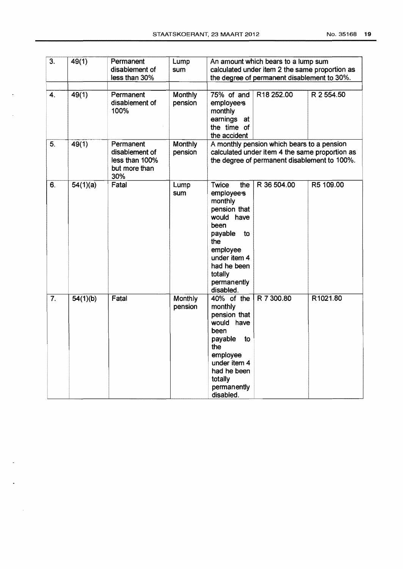$\ddot{\phantom{a}}$ 

 $\mathcal{A}$ 

 $\overline{\phantom{a}}$ 

 $\ddot{\phantom{a}}$ 

 $\sim$   $\sim$ 

| $\overline{3}$ . | 49(1)    | Permanent<br>disablement of<br>less than 30%                          | Lump<br>sum        | An amount which bears to a lump sum<br>calculated under item 2 the same proportion as<br>the degree of permanent disablement to 30%.                                                                |            |  |
|------------------|----------|-----------------------------------------------------------------------|--------------------|-----------------------------------------------------------------------------------------------------------------------------------------------------------------------------------------------------|------------|--|
| 4.               | 49(1)    | Permanent<br>disablement of<br>100%                                   | Monthly<br>pension | R18 252.00<br>75% of and<br>employees<br>monthly<br>earnings at<br>the time of<br>the accident                                                                                                      | R 2 554.50 |  |
| 5.               | 49(1)    | Permanent<br>disablement of<br>less than 100%<br>but more than<br>30% | Monthly<br>pension | A monthly pension which bears to a pension<br>calculated under item 4 the same proportion as<br>the degree of permanent disablement to 100%.                                                        |            |  |
| 6.               | 54(1)(a) | Fatal                                                                 | Lump<br>sum        | Twice<br>R 36 504.00<br>the<br>employees<br>monthly<br>pension that<br>would have<br>been<br>payable<br>to<br>the<br>employee<br>under item 4<br>had he been<br>totally<br>permanently<br>disabled. | R5 109.00  |  |
| $\overline{7}$ . | 54(1)(b) | Fatal                                                                 | Monthly<br>pension | 40% of the<br>R 7 300.80<br>monthly<br>pension that<br>would have<br>been<br>payable<br>to<br>the<br>employee<br>under item 4<br>had he been<br>totally<br>permanently<br>disabled.                 | R1021.80   |  |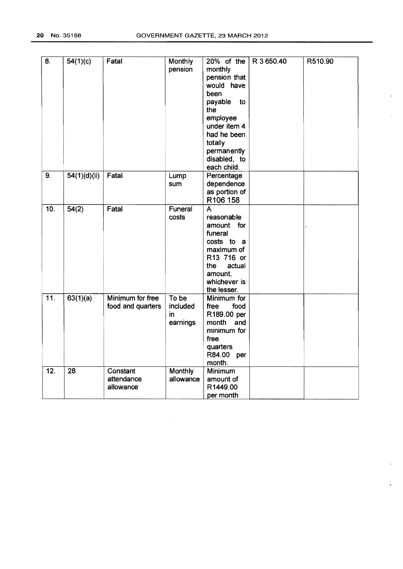$\bar{\mathbf{z}}$ 

 $\mathcal{L}$ 

 $\blacksquare$ 

 $\star$ 

| 8.  | 54(1)(c)     | Fatal                                 | Monthly<br>pension                  | 20% of the<br>monthly<br>pension that<br>would have<br>been<br>payable<br>to<br>the<br>employee<br>under item 4<br>had he been<br>totally<br>permanently<br>disabled, to | R 3 650.40 | R510.90 |
|-----|--------------|---------------------------------------|-------------------------------------|--------------------------------------------------------------------------------------------------------------------------------------------------------------------------|------------|---------|
| 9.  | 54(1)(d)(ii) | Fatal                                 | Lump<br>sum                         | each child.<br>Percentage<br>dependence<br>as portion of<br>R106 158                                                                                                     |            |         |
| 10. | 54(2)        | Fatal                                 | Funeral<br>costs                    | A<br>reasonable<br>amount for<br>funeral<br>costs to a<br>maximum of<br>R13 716 or<br>actual<br>the.<br>amount,<br>whichever is<br>the lesser.                           |            |         |
| 11. | 63(1)(a)     | Minimum for free<br>food and quarters | To be<br>included<br>in<br>earnings | Minimum for<br>free<br>food<br>R189.00 per<br>month<br>and<br>minimum for<br>free<br>quarters<br>R84.00 per<br>month.                                                    |            |         |
| 12. | 28           | Constant<br>attendance<br>allowance   | <b>Monthly</b><br>allowance         | Minimum<br>amount of<br>R1449.00<br>per month                                                                                                                            |            |         |